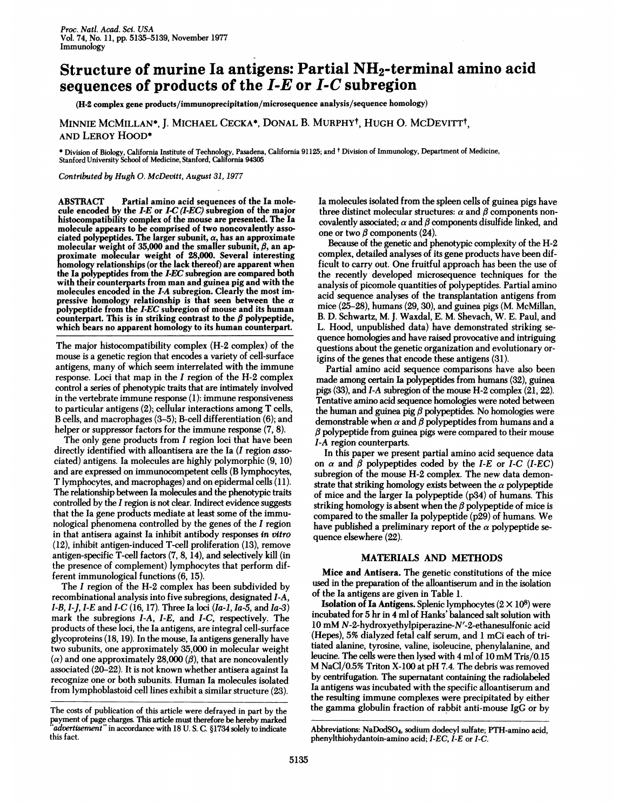## Structure of murine Ia antigens: Partial NH2-terminal amino acid sequences of products of the  $I-E$  or  $I-C$  subregion

(H-2 complex gene products/immunoprecipitation/microsequence analysis/sequence homology)

## MINNIE MCMILLAN\*, J. MICHAEL CECKA\*, DONAL B. MURPHYt, HUGH 0. MCDEVITTt, AND LEROY HOOD\*

\* Division of Biology, California Institute of Technology, Pasadena, California 91125; and <sup>t</sup> Division of Immunology, Department of Medicine, Stanford University School of Medicine, Stanford, California 94305

Contributed by Hugh 0. McDevitt, August 31, 1977

ABSTRACT Partial amino acid sequences of the Ia molecule encoded by the  $I-E$  or  $I-C$  (I-EC) subregion of the major histocompatibility complex of the mouse are presented. The Ia molecule appears to be comprised of two noncovalently associated polypeptides. The larger subunit,  $\alpha$ , has an approximate molecular weight of 35,000 and the smaller subunit,  $\beta$ , an approximate molecular weight of 28,000. Several interesting homology relationships (or the lack thereof) are apparent when the Ta polypeptides from the I-EC subregion are compared both with their counterparts from man and guinea pig and with the molecules encoded in the I-A subregion. Clearly the most impressive homology relationship is that seen between the  $\alpha$ polypeptide from the I-EC subregion of mouse and its human counterpart. This is in striking contrast to the  $\beta$  polypeptide, which bears no apparent homology to its human counterpart.

The major histocompatibility complex (H-2 complex) of the mouse is a genetic region that encodes a variety of cell-surface antigens, many of which seem interrelated with the immune response. Loci that map in the <sup>I</sup> region of the H-2 complex control a series of phenotypic traits that are intimately involved in the vertebrate immune response (1): immune responsiveness to particular antigens (2); cellular interactions among T cells, B cells, and macrophages (3-5); B-cell differentiation (6); and helper or suppressor factors for the immune response  $(7, 8)$ .

The only gene products from I region loci that have been directly identified with alloantisera are the Ia (I region associated) antigens. Ta molecules are highly polymorphic (9, 10) and are expressed on immunocompetent cells (B lymphocytes, T lymphocytes, and macrophages) and on epidermal cells (11). The relationship between Ta molecules and the phenotypic traits controlled by the I region is not clear. Indirect evidence suggests that the Ia gene products mediate at least some of the immunological phenomena controlled by the genes of the I region in that antisera against Ia inhibit antibody responses in vitro (12), inhibit antigen-induced T-cell proliferation (13), remove antigen-specific T-cell factors (7, 8, 14), and selectively kill (in the presence of complement) lymphocytes that perform different immunological functions (6, 15).

The <sup>I</sup> region of the H-2 complex has been subdivided by recombinational analysis into five subregions, designated I-A, *I-B, I-J, I-E* and *I-C* (16, 17). Three Ia loci (*Ia-1, Ia-5*, and *Ia-3*) mark the subregions I-A, I-E, and I-C, respectively. The products of these loci, the Ta antigens, are integral cell-surface glycoproteins (18, 19). In the mouse, Ta antigens generally have two subunits, one approximately 35,000 in molecular weight  $(\alpha)$  and one approximately 28,000 ( $\beta$ ), that are noncovalently associated (20-22). It is not known whether antisera against Ta recognize one or both subunits. Human Ta molecules isolated from lymphoblastoid cell lines exhibit a similar structure (23).

Ta molecules isolated from the spleen cells of guinea pigs have three distinct molecular structures:  $\alpha$  and  $\beta$  components noncovalently associated;  $\alpha$  and  $\beta$  components disulfide linked, and one or two  $\beta$  components (24).

Because of the genetic and phenotypic complexity of the H-2 complex, detailed analyses of its gene products have been difficult to carry out. One fruitful approach has been the use of the recently developed microsequence techniques for the analysis of picomole quantities of polypeptides. Partial amino acid sequence analyses of the transplantation antigens from mice (25-28), humans (29,30), and guinea pigs (M. McMillan, B. D. Schwartz, M. J. Waxdal, E. M. Shevach, W. E. Paul, and L. Hood, unpublished data) have demonstrated striking sequence homologies and have raised provocative and intriguing questions about the genetic organization and evolutionary origins of the genes that encode these antigens (31).

Partial amino acid sequence comparisons have also been made among certain Ta polypeptides from humans (32), guinea pigs (33), and I-A subregion of the mouse H-2 complex (21, 22). Tentative amino acid sequence homologies were noted between the human and guinea pig  $\beta$  polypeptides. No homologies were demonstrable when  $\alpha$  and  $\beta$  polypeptides from humans and a  $\beta$  polypeptide from guinea pigs were compared to their mouse I-A region counterparts.

In this paper we present partial amino acid sequence data on  $\alpha$  and  $\beta$  polypeptides coded by the *I-E* or *I-C* (*I-EC*) subregion of the mouse H-2 complex. The new data demonstrate that striking homology exists between the  $\alpha$  polypeptide of mice and the larger Ta polypeptide (p34) of humans. This striking homology is absent when the  $\beta$  polypeptide of mice is compared to the smaller Ta polypeptide (p29) of humans. We have published a preliminary report of the  $\alpha$  polypeptide sequence elsewhere (22).

## MATERIALS AND METHODS

Mice and Antisera. The genetic constitutions of the mice used in the preparation of the alloantiserum and in the isolation of the Ta antigens are given in Table 1.

Isolation of Ia Antigens. Splenic lymphocytes  $(2 \times 10^8)$  were incubated for 5 hr in 4 ml of Hanks' balanced salt solution with <sup>10</sup> mM N-2-hydroxyethylpiperazine-N'-2-ethanesulfonic acid (Hepes), 5% dialyzed fetal calf serum, and <sup>1</sup> mCi each of tritiated alanine, tyrosine, valine, isoleucine, phenylalanine, and leucine. The cells were then lysed with <sup>4</sup> ml of <sup>10</sup> mM Tris/0.15 M NaCI/0.5% Triton X-100 at pH 7.4. The debris was removed by centrifugation. The supernatant containing the radiolabeled Ta antigens was incubated with the specific alloantiserum and the resulting immune complexes were precipitated by either the gamma globulin fraction of rabbit anti-mouse IgG or by

The costs of publication of this article were defrayed in part by the payment of page charges. This article must therefore be hereby marked "advertisement" in accordance with 18 U. S. C. §1734 solely to indicate this fact.

Abbreviations: NaDodSO4, sodium dodecyl sulfate; PTH-amino acid, phenylthiohydantoin-amino acid; I-EC, I-E or I-C.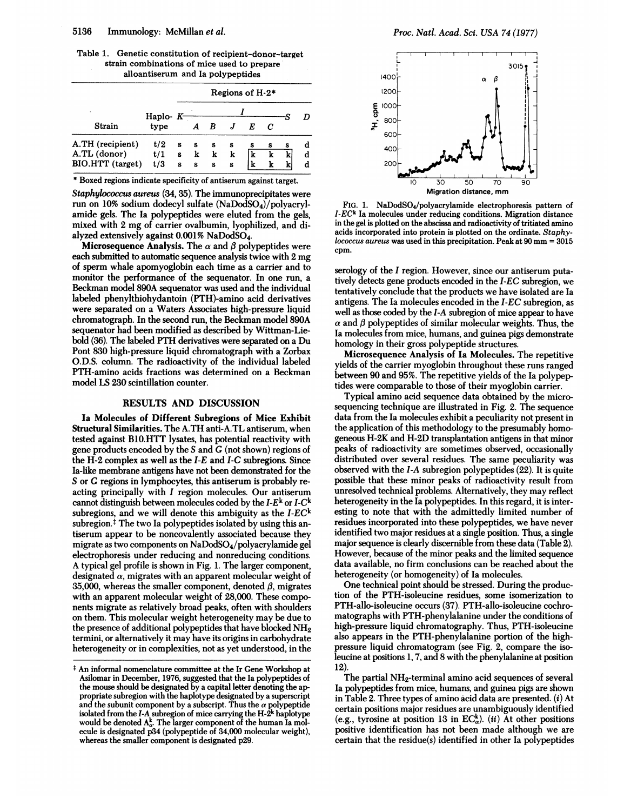Table 1. Genetic constitution of recipient-donor-target strain combinations of mice used to prepare alloantiserum and Ia polypeptides

|                  |                       | Regions of H-2* |                  |   |   |   |   |   |   |  |  |  |  |  |  |
|------------------|-----------------------|-----------------|------------------|---|---|---|---|---|---|--|--|--|--|--|--|
| ٠                | Haplo- $K$ --<br>type |                 |                  |   |   |   |   |   |   |  |  |  |  |  |  |
| Strain           |                       |                 | $\boldsymbol{A}$ | B |   |   | C |   |   |  |  |  |  |  |  |
| A.TH (recipient) | t/2                   | s               | s                | s | s | s | s | s | a |  |  |  |  |  |  |
| A.TL (donor)     | t/1                   | s               | k                | k | k | k | k | k | d |  |  |  |  |  |  |
| BIO.HTT (target) | t/3                   | s               | s                | S | s | k | k | k | d |  |  |  |  |  |  |

\* Boxed regions indicate specificity of antiserum against target.

Staphylococcus aureus (34, 35). The immunoprecipitates were run on 10% sodium dodecyl sulfate (NaDodSO4)/polyacrylamide gels. The Ia polypeptides were eluted from the gels, mixed with <sup>2</sup> mg of carrier ovalbumin, lyophilized, and dialyzed extensively against  $0.001\%$  NaDodSO<sub>4</sub>.

Microsequence Analysis. The  $\alpha$  and  $\beta$  polypeptides were each submitted to automatic sequence analysis twice with 2 mg of sperm whale apomyoglobin each time as a carrier and to monitor the performance of the sequenator. In one run, a Beckman model 890A sequenator was used and the individual labeled phenylthiohydantoin (PTH)-amino acid derivatives were separated on a Waters Associates high-pressure liquid chromatograph. In the second run, the Beckman model 890A sequenator had been modified as described by Wittman-Liebold (36). The labeled PTH derivatives were separated on <sup>a</sup> Du Pont 830 high-pressure liquid chromatograph with a Zorbax O.D.S. column. The radioactivity of the individual labeled PTH-amino acids fractions was determined on a Beckman model LS 230 scintillation counter.

## RESULTS AND DISCUSSION

Ia Molecules of Different Subregions of Mice Exhibit Structural Similarities. The A.TH anti-A.TL antiserum, when tested against B10.HTT lysates, has potential reactivity with gene products encoded by the S and G (not shown) regions of the H-2 complex as well as the I-E and I-C subregions. Since Ia-like membrane antigens have not been demonstrated for the S or G regions in lymphocytes, this antiserum is probably reacting principally with <sup>I</sup> region molecules. Our antiserum cannot distinguish between molecules coded by the  $I-E^k$  or  $I-C^k$ subregions, and we will denote this ambiguity as the  $I$ - $EC<sup>k</sup>$ subregion. $\ddagger$  The two Ia polypeptides isolated by using this antiserum appear to be noncovalently associated because they migrate as two components on NaDodSO4/polyacrylamide gel electrophoresis under reducing and nonreducing conditions. A typical gel profile is shown in Fig. 1. The larger component, designated  $\alpha$ , migrates with an apparent molecular weight of 35,000, whereas the smaller component, denoted  $\beta$ , migrates with an apparent molecular weight of 28,000. These components migrate as relatively broad peaks, often with shoulders on them. This molecular weight heterogeneity may be due to the presence of additional polypeptides that have blocked NH<sub>2</sub> termini, or alternatively it may have its origins in carbohydrate heterogeneity or in complexities, not as yet understood, in the



FIG. 1. NaDodSO4/polyacrylamide electrophoresis pattern of  $I$ - $EC<sup>k</sup>$  Ia molecules under reducing conditions. Migration distance in the gel is plotted on the abscissa and radioactivity of tritiated amino acids incorporated into protein is plotted on the ordinate. Staphylococcus aureus was used in this precipitation. Peak at  $90 \text{ mm} = 3015$ cpm.

serology of the I region. However, since our antiserum putatively detects gene products encoded in the I-EC subregion, we tentatively conclude that the products we have isolated are Ia antigens. The Ia molecules encoded in the I-EC subregion, as well as those coded by the I-A subregion of mice appear to have  $\alpha$  and  $\beta$  polypeptides of similar molecular weights. Thus, the Ta molecules from mice, humans, and guinea pigs demonstrate homology in their gross polypeptide structures.

Microsequence Analysis of Ia Molecules. The repetitive yields of the carrier myoglobin throughout these runs ranged between 90 and 95%. The repetitive yields of the Ta polypeptides were comparable to those of their myoglobin carrier.

Typical amino acid sequence data obtained by the microsequencing technique are illustrated in Fig. 2. The sequence data from the Ta molecules exhibit a peculiarity not present in the application of this methodology to the presumably homogeneous H-2K and H-2D transplantation antigens in that minor peaks of radioactivity are sometimes observed, occasionally distributed over several residues. The same peculiarity was observed with the I-A subregion polypeptides (22). It is quite possible that these minor peaks of radioactivity result from unresolved technical problems. Alternatively, they may reflect heterogeneity in the Ia polypeptides. In this regard, it is interesting to note that with the admittedly limited number of residues incorporated into these polypeptides, we have never identified two major residues at a single position. Thus, a single major sequence is clearly discernible from these data (Table 2). However, because of the minor peaks and the limited sequence data available, no firm conclusions can be reached about the heterogeneity (or homogeneity) of Ia molecules.

One technical point should be stressed. During the production of the PTH-isoleucine residues, some isomerization to PTH-allo-isoleucine occurs (37). PTH-allo-isoleucine cochromatographs with PTH-phenylalanine under the conditions of high-pressure liquid chromatography. Thus, PTH-isoleucine also appears in the PTH-phenylalanine portion of the highpressure liquid chromatogram (see Fig. 2, compare the isoleucine at positions 1, 7, and 8 with the phenylalanine at position  $12)$ 

The partial NH<sub>2</sub>-terminal amino acid sequences of several Ia polypeptides from mice, humans, and guinea pigs are shown in Table 2. Three types of amino acid data are presented. (i) At certain positions major residues are unambiguously identified (e.g., tyrosine at position 13 in  $EC_{\alpha}^{k}$ ). (*ii*) At other positions positive identification has not been made although we are certain that the residue(s) identified in other Ia polypeptides

An informal nomenclature committee at the Ir Gene Workshop at Asilomar in December, 1976, suggested that the Ta polypeptides of the mouse should be designated by a capital letter denoting the approprate subregion with the haplotype designated by a superscript and the subunit component by a subscript. Thus the  $\alpha$  polypeptide isolated from the I-A subregion of mice carrying the H-2k haplotype would be denoted  $A^{\kappa}_{\alpha}$ . The larger component of the human Ia molecule is designated p34 (polypeptide of 34,000 molecular weight), whereas the smaller component is designated p29.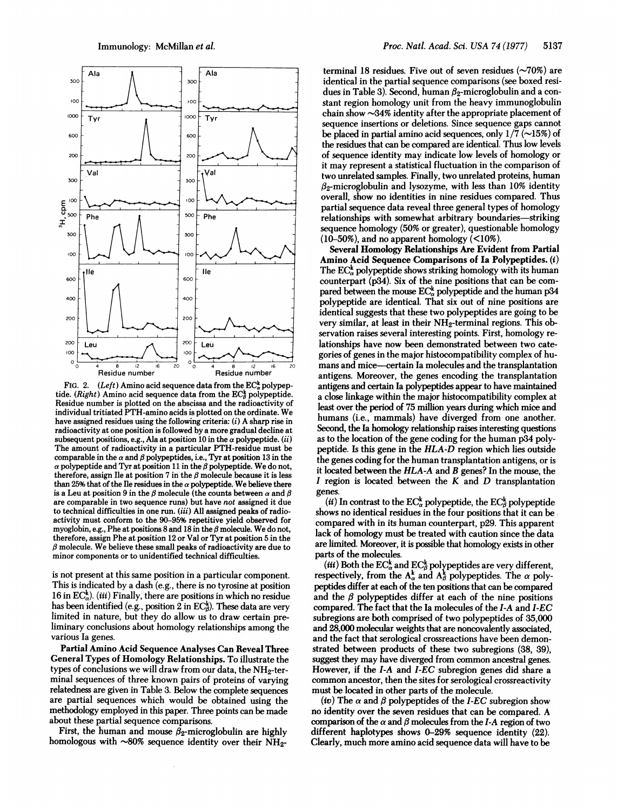

FIG. 2. (Left) Amino acid sequence data from the  $EC_{\alpha}^{k}$  polypeptide. (Right) Amino acid sequence data from the  $EC^k_{\beta}$  polypeptide. Residue number is plotted on the abscissa and the radioactivity of individual tritiated PTH-amino acids is plotted on the ordinate. We have assigned residues using the following criteria: (i) A sharp rise in radioactivity at one position is followed by a more gradual decline at subsequent positions, e.g., Ala at position 10 in the  $\alpha$  polypeptide. (ii) The amount of radioactivity in a particular PTH-residue must be comparable in the  $\alpha$  and  $\beta$  polypeptides, i.e., Tyr at position 13 in the  $\alpha$  polypeptide and Tyr at position 11 in the  $\beta$  polypeptide. We do not, therefore, assign Ile at position 7 in the  $\beta$  molecule because it is less than 25% that of the Ile residues in the  $\alpha$  polypeptide. We believe there is a Leu at position 9 in the  $\beta$  molecule (the counts between  $\alpha$  and  $\beta$ are comparable in two sequence runs) but have not assigned it due to technical difficulties in one run.  $(iii)$  All assigned peaks of radioactivity must conform to the 90-95% repetitive yield observed for myoglobin, e.g., Phe at positions 8 and 18 in the  $\beta$  molecule. We do not, therefore, assign Phe at position <sup>12</sup> or Valor Tyr at position 5 in the  $\beta$  molecule. We believe these small peaks of radioactivity are due to minor components or to unidentified technical difficulties.

is not present at this same position in a particular component. This is indicated by a dash (e.g., there is no tyrosine at position 16 in  $EC_{\alpha}^{k}$ ). (*iii*) Finally, there are positions in which no residue has been identified (e.g., position  $2$  in EC $_{\beta}^k$ ). These data are very limited in nature, but they do allow us to draw certain preliminary conclusions about homology relationships among the various Ia genes.

Partial Amino Acid Sequence Analyses Can Reveal Three General Types of Homology Relationships. To illustrate the types of conclusions we will draw from our data, the NH2-terminal sequences of three known pairs of proteins of varying relatedness are given in Table 3. Below the complete sequences are partial sequences which would be obtained using the methodology employed in this paper. Three points can be made about these partial sequence comparisons.

First, the human and mouse  $\beta_2$ -microglobulin are highly homologous with  $\sim80\%$  sequence identity over their NH<sub>2</sub>-

terminal 18 residues. Five out of seven residues  $(\sim 70\%)$  are identical in the partial sequence comparisons (see boxed residues in Table 3). Second, human  $\beta_2$ -microglobulin and a constant region homology unit from the heavy immunoglobulin chain show  $\sim$ 34% identity after the appropriate placement of sequence insertions or deletions. Since sequence gaps cannot be placed in partial amino acid sequences, only  $1/\overline{7}$  ( $\sim$ 15%) of the residues that can be compared are identical. Thus low levels of sequence identity may indicate low levels of homology or it may represent a statistical fluctuation in the comparison of two unrelated samples. Finally, two unrelated proteins, human  $\beta_2$ -microglobulin and lysozyme, with less than 10% identity overall, show no identities in nine residues compared. Thus partial sequence data reveal three general types of homology relationships with somewhat arbitrary boundaries-striking sequence homology (50% or greater), questionable homology  $(10-50\%)$ , and no apparent homology  $(<10\%)$ .

Several Homology Relationships Are Evident from Partial Amino Acid Sequence Comparisons of Ia Polypeptides. (i) The  $EC_{\alpha}^{k}$  polypeptide shows striking homology with its human counterpart (p34). Six of the nine positions that can be compared between the mouse  $EC_{\alpha}^{k}$  polypeptide and the human p34 polypeptide are identical. That six out of nine positions are identical suggests that these two polypeptides are going to be very similar, at least in their NH2-terminal regions. This observation raises several interesting points. First, homology relationships have now been demonstrated between two categories of genes in the major histocompatibility complex of humans and mice-certain Ia molecules and the transplantation antigens. Moreover, the genes encoding the transplantation antigens and certain Ia polypeptides appear to have maintained a close linkage within the major histocompatibility complex at least over the period of 75 million years during which mice and humans (i.e., mammals) have diverged from one another. Second, the Ia homology relationship raises interesting questions as to the location of the gene coding for the human p34 polypeptide. Is this gene in the HLA-D region which lies outside the genes coding for the human transplantation antigens, or is it located between the HLA-A and B genes? In the mouse, the I region is located between the  $K$  and  $D$  transplantation genes.

(ii) In contrast to the  $EC^k_\alpha$  polypeptide, the  $EC^k_\beta$  polypeptide shows no identical residues in the four positions that it can be, compared with in its human counterpart, p29. This apparent lack of homology must be treated with caution since the data are limited. Moreover, it is possible that homology exists in other parts of the molecules.

(*iii*) Both the EC<sub>α</sub><sup>k</sup> and EC<sub>β</sub><sup>k</sup> polypeptides are very different, respectively, from the  $A_{\alpha}^{k}$  and  $A_{\beta}^{k}$  polypeptides. The  $\alpha$  polypeptides differ at each of the ten positions that can be compared and the  $\beta$  polypeptides differ at each of the nine positions compared. The fact that the Ia molecules of the I-A and I-EC subregions are both comprised of two polypeptides of 35,000 and 28,000 molecular weights that are noncovalently associated, and the fact that serological crossreactions have been demonstrated between products of these two subregions (38, 39), suggest they may have diverged from common ancestral genes. However, if the I-A and I-EC subregion genes did share a common ancestor, then the sites for serological crossreactivity must be located in other parts of the molecule.

(iv) The  $\alpha$  and  $\beta$  polypeptides of the I-EC subregion show no identity over the seven residues that can be compared. A comparison of the  $\alpha$  and  $\beta$  molecules from the I-A region of two different haplotypes shows 0-29% sequence identity (22). Clearly, much more amino acid sequence data will have to be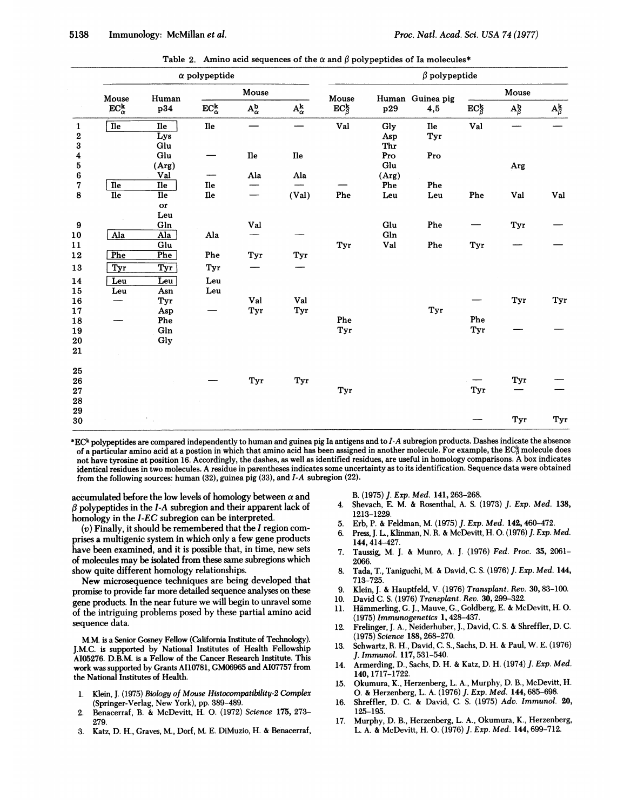|                  |                                              |                  | $\alpha$ polypeptide |                                 |                      | $\beta$ polypeptide                |       |                  |                           |                          |                                   |  |  |  |  |
|------------------|----------------------------------------------|------------------|----------------------|---------------------------------|----------------------|------------------------------------|-------|------------------|---------------------------|--------------------------|-----------------------------------|--|--|--|--|
|                  | Mouse<br>$\mathbf{EC}_{\alpha}^{\mathbf{k}}$ | Human            |                      | Mouse                           |                      | Mouse                              |       | Human Guinea pig |                           |                          |                                   |  |  |  |  |
|                  |                                              | p34              | $EC_{\alpha}^{k}$    | $\mathbf{A}^\mathbf{b}_\alpha$  | $A^{\bf k}_{\alpha}$ | $\mathrm{EC}_{\beta}^{\mathbf{k}}$ | p29   | 4,5              | $EC^{\mathbf{k}}_{\beta}$ | $A_{\beta}^{\mathbf{b}}$ | $\mathbf{A}_{\beta}^{\mathbf{k}}$ |  |  |  |  |
| $\mathbf 1$      | $\overline{I}$ le                            | <b>Ile</b>       | ${\bf I}$            |                                 |                      | Val                                | Gly   | <b>Ile</b>       | ${\bf Val}$               |                          |                                   |  |  |  |  |
| $\bf 2$          |                                              | Lys              |                      |                                 |                      |                                    | Asp   | Tyr              |                           |                          |                                   |  |  |  |  |
| 3                |                                              | Glu              |                      |                                 |                      |                                    | Thr   |                  |                           |                          |                                   |  |  |  |  |
| $\boldsymbol{4}$ |                                              | Glu              |                      | <b>Ile</b>                      | Ile                  |                                    | Pro   | Pro              |                           |                          |                                   |  |  |  |  |
| ${\bf 5}$        |                                              | (Arg)            |                      |                                 |                      |                                    | Glu   |                  |                           | Arg                      |                                   |  |  |  |  |
| 6                |                                              | Val              |                      | Ala                             | Ala                  |                                    | (Arg) |                  |                           |                          |                                   |  |  |  |  |
| 7                | $\overline{I}$                               | <b>Ile</b>       | ${\bf He}$           |                                 |                      |                                    | Phe   | Phe              |                           |                          |                                   |  |  |  |  |
| $\bf 8$          | $\overline{I}$ le                            | <b>Ile</b>       | $\mathbf{I}$         | $\hspace{0.1mm}-\hspace{0.1mm}$ | (Val)                | Phe                                | Leu   | Leu              | Phe                       | Val                      | ${\bf Val}$                       |  |  |  |  |
|                  |                                              | or               |                      |                                 |                      |                                    |       |                  |                           |                          |                                   |  |  |  |  |
|                  |                                              | Leu              |                      |                                 |                      |                                    |       |                  |                           |                          |                                   |  |  |  |  |
| $\boldsymbol{9}$ |                                              | Gln              |                      | Val                             |                      |                                    | Glu   | Phe              |                           | Tyr                      |                                   |  |  |  |  |
| $10\,$           | Ala                                          | Ala              | Ala                  |                                 |                      |                                    | Gln   |                  |                           |                          |                                   |  |  |  |  |
| 11               |                                              | Glu              |                      |                                 |                      | Tyr                                | Val   | Phe              | Tyr                       |                          |                                   |  |  |  |  |
| 12               | Phe                                          | Phe              | Phe                  | Tyr                             | Tyr                  |                                    |       |                  |                           |                          |                                   |  |  |  |  |
| 13               | Tyr                                          | $\overline{Tyr}$ | Tyr                  |                                 |                      |                                    |       |                  |                           |                          |                                   |  |  |  |  |
| 14               | Leu                                          | Leu              | Leu                  |                                 |                      |                                    |       |                  |                           |                          |                                   |  |  |  |  |
| 15               | Leu                                          | Asn              | Leu                  |                                 |                      |                                    |       |                  |                           |                          |                                   |  |  |  |  |
| ${\bf 16}$       |                                              | Tyr              |                      | Val                             | Val                  |                                    |       |                  |                           | Tyr                      | Tyr                               |  |  |  |  |
| 17               |                                              | Asp              |                      | Tyr                             | Tyr                  |                                    |       | Tyr              |                           |                          |                                   |  |  |  |  |
| 18               |                                              | Phe              |                      |                                 |                      | Phe                                |       |                  | Phe                       |                          |                                   |  |  |  |  |
| 19               |                                              | Gln              |                      |                                 |                      | Tyr                                |       |                  | Tyr                       |                          |                                   |  |  |  |  |
| 20               |                                              | Gly              |                      |                                 |                      |                                    |       |                  |                           |                          |                                   |  |  |  |  |
| 21               |                                              |                  |                      |                                 |                      |                                    |       |                  |                           |                          |                                   |  |  |  |  |
| 25               |                                              |                  |                      |                                 |                      |                                    |       |                  |                           |                          |                                   |  |  |  |  |
| 26               |                                              |                  |                      | Tyr                             | Tyr                  |                                    |       |                  |                           | Tyr                      |                                   |  |  |  |  |
| 27               |                                              |                  |                      |                                 |                      | Tyr                                |       |                  | Tyr                       |                          |                                   |  |  |  |  |
| ${\bf 28}$       |                                              |                  |                      |                                 |                      |                                    |       |                  |                           |                          |                                   |  |  |  |  |
| 29               |                                              |                  |                      |                                 |                      |                                    |       |                  |                           |                          |                                   |  |  |  |  |
| 30               |                                              |                  |                      |                                 |                      |                                    |       |                  |                           | Tyr                      | Tyr                               |  |  |  |  |

Table 2. Amino acid sequences of the  $\alpha$  and  $\beta$  polypeptides of Ia molecules\*

\*EC\* polypeptides are compared independently to human and guinea pig Ia antigens and to I-A subregion products. Dashes indicate the absence of a particular amino acid at a postion in which that amino acid has been assigned in another molecule. For example, the  $EC^k_{\beta}$  molecule does not have tyrosine at position 16. Accordingly, the dashes, as well as identified residues, are useful in homology comparisons. A box indicates identical residues in two molecules. A residue in parentheses indicates some uncertainty as to its identification. Sequence data were obtained from the following sources: human (32), guinea pig (33), and I-A subregion (22).

accumulated before the low levels of homology between  $\alpha$  and  $\beta$  polypeptides in the I-A subregion and their apparent lack of homology in the I-EC subregion can be interpreted.

(v) Finally, it should be remembered that the <sup>I</sup> region comprises a multigenic system in which only a few gene products have been examined, and it is possible that, in time, new sets of molecules may be isolated from these same subregions which show quite different homology relationships.

New microsequence techniques are being developed that promise to provide far more detailed sequence analyses on these gene products. In the near future we will begin to unravel some of the intriguing problems posed by these partial amino acid sequence data.

M.M. is a Senior Gosney Fellow (California Institute of Technology). J.M.C. is supported by National Institutes of Health Fellowship A105276. D.B.M. is a Fellow of the Cancer Research Institute. This work was supported by Grants A110781, GM06965 and AI07757 from the National Institutes of Health.

- 1. Klein, J. (1975) Biology of Mouse Histocompatibility-2 Complex (Springer-Verlag, New York), pp. 389-489.
- 2. Benacerraf, B. & McDevitt, H. 0. (1972) Science 175, 273- 279.
- 3. Katz, D. H., Graves, M., Dorf, M. E. DiMuzio, H. & Benacerraf,

B. (1975) J. Exp. Med. 141, 263-268.

- 4. Shevach, E. M. & Rosenthal, A. S. (1973) J. Exp. Med. 138, 1213-1229.
- 5. Erb, P. & Feldman, M. (1975) J. Exp. Med. 142, 460-472.
- 6. Press, J. L., Klinman, N. R. & McDevitt, H. 0. (1976) J. Exp. Med. 144,414-427.
- 7. Taussig, M. J. & Munro, A. J. (1976) Fed. Proc. 35, 2061- 2066.
- 8. Tada, T., Taniguchi, M. & David, C. S. (1976) J. Exp. Med. 144, 713-725.
- 9. Klein, J. & Hauptfeld, V. (1976) Transplant. Rev. 30, 83-100.
- 10. David C. S. (1976) Transplant. Rev. 30,299-322.
- 11. Hammerling, G. J., Mauve, G., Goldberg, E. & McDevitt, H. 0. (1975) Immunogenetics 1, 428-437.
- 12. Frelinger, J. A., Neiderhuber, J., David, C. S. & Shreffler, D. C. (1975) Science 188, 268-270.
- 13. Schwartz, R. H., David, C. S., Sachs, D. H. & Paul, W. E. (1976) J. Immunol. 117,531-540.
- 14. Armerding, D., Sachs, D. H. & Katz, D. H. (1974) J. Exp. Med. 140, 1717-1722.
- 15. Okumura, K., Herzenberg, L. A., Murphy, D. B., McDevitt, H. 0. & Herzenberg, L. A. (1976) J. Exp. Med. 144, 685-698.
- 16. Shreffler, D. C. & David, C. S. (1975) Adv. Immunol. 20, 125-195.
- 17. Murphy, D. B., Herzenberg, L. A., Okumura, K., Herzenberg, L. A. & McDevitt, H. 0. (1976) J. Exp. Med. 144,699-712.